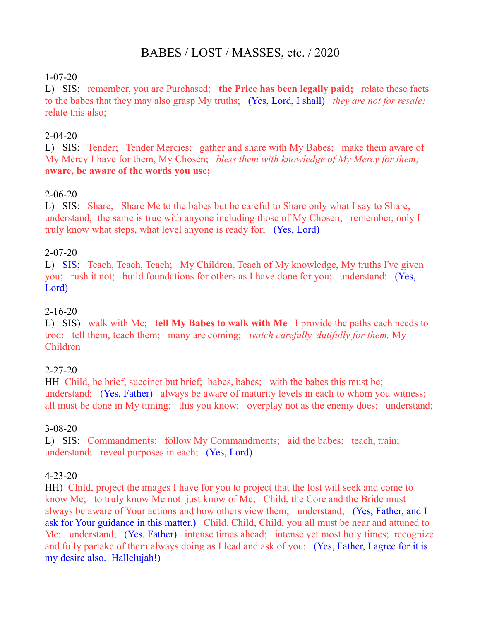# BABES / LOST / MASSES, etc. / 2020

#### 1-07-20

L) SIS; remember, you are Purchased; **the Price has been legally paid;** relate these facts to the babes that they may also grasp My truths; (Yes, Lord, I shall) *they are not for resale;*  relate this also;

#### 2-04-20

L) SIS; Tender; Tender Mercies; gather and share with My Babes; make them aware of My Mercy I have for them, My Chosen; *bless them with knowledge of My Mercy for them;*  **aware, be aware of the words you use;**

#### 2-06-20

L) SIS: Share; Share Me to the babes but be careful to Share only what I say to Share; understand; the same is true with anyone including those of My Chosen; remember, only I truly know what steps, what level anyone is ready for; (Yes, Lord)

#### 2-07-20

L) SIS; Teach, Teach, Teach; My Children, Teach of My knowledge, My truths I've given you; rush it not; build foundations for others as I have done for you; understand; (Yes, Lord)

#### 2-16-20

L) SIS) walk with Me; **tell My Babes to walk with Me** I provide the paths each needs to trod; tell them, teach them; many are coming; *watch carefully, dutifully for them,* My Children

#### 2-27-20

HH Child, be brief, succinct but brief; babes, babes; with the babes this must be; understand; (Yes, Father) always be aware of maturity levels in each to whom you witness; all must be done in My timing; this you know; overplay not as the enemy does; understand;

#### 3-08-20

L) SIS: Commandments; follow My Commandments; aid the babes; teach, train; understand; reveal purposes in each; (Yes, Lord)

#### 4-23-20

HH) Child, project the images I have for you to project that the lost will seek and come to know Me; to truly know Me not just know of Me; Child, the Core and the Bride must always be aware of Your actions and how others view them; understand; (Yes, Father, and I ask for Your guidance in this matter.) Child, Child, Child, you all must be near and attuned to Me; understand; (Yes, Father) intense times ahead; intense yet most holy times; recognize and fully partake of them always doing as I lead and ask of you; (Yes, Father, I agree for it is my desire also. Hallelujah!)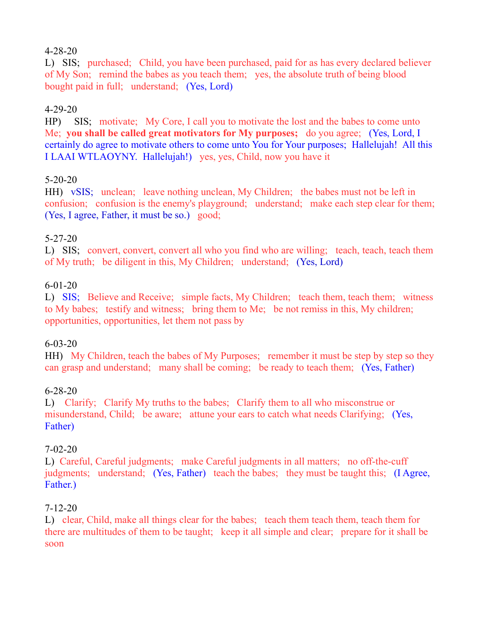# 4-28-20

L) SIS; purchased; Child, you have been purchased, paid for as has every declared believer of My Son; remind the babes as you teach them; yes, the absolute truth of being blood bought paid in full; understand; (Yes, Lord)

# 4-29-20

HP) SIS; motivate; My Core, I call you to motivate the lost and the babes to come unto Me; **you shall be called great motivators for My purposes;** do you agree; (Yes, Lord, I certainly do agree to motivate others to come unto You for Your purposes; Hallelujah! All this I LAAI WTLAOYNY. Hallelujah!) yes, yes, Child, now you have it

# 5-20-20

HH) vSIS; unclean; leave nothing unclean, My Children; the babes must not be left in confusion; confusion is the enemy's playground; understand; make each step clear for them; (Yes, I agree, Father, it must be so.) good;

# 5-27-20

L) SIS; convert, convert, convert all who you find who are willing; teach, teach, teach them of My truth; be diligent in this, My Children; understand; (Yes, Lord)

# 6-01-20

L) SIS; Believe and Receive; simple facts, My Children; teach them, teach them; witness to My babes; testify and witness; bring them to Me; be not remiss in this, My children; opportunities, opportunities, let them not pass by

# 6-03-20

HH) My Children, teach the babes of My Purposes; remember it must be step by step so they can grasp and understand; many shall be coming; be ready to teach them; (Yes, Father)

# 6-28-20

L) Clarify; Clarify My truths to the babes; Clarify them to all who misconstrue or misunderstand, Child; be aware; attune your ears to catch what needs Clarifying; (Yes, Father)

# 7-02-20

L) Careful, Careful judgments; make Careful judgments in all matters; no off-the-cuff judgments; understand; (Yes, Father) teach the babes; they must be taught this; (I Agree, Father.)

# 7-12-20

L) clear, Child, make all things clear for the babes; teach them teach them, teach them for there are multitudes of them to be taught; keep it all simple and clear; prepare for it shall be soon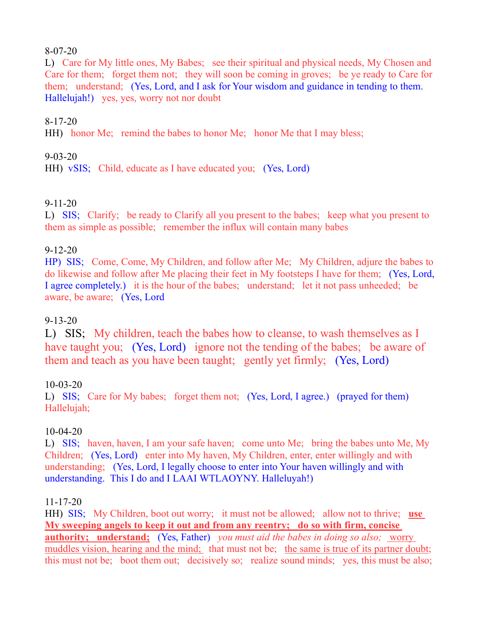#### 8-07-20

L) Care for My little ones, My Babes; see their spiritual and physical needs, My Chosen and Care for them; forget them not; they will soon be coming in groves; be ye ready to Care for them; understand; (Yes, Lord, and I ask for Your wisdom and guidance in tending to them. Hallelujah!) yes, yes, worry not nor doubt

# 8-17-20

HH) honor Me; remind the babes to honor Me; honor Me that I may bless;

# 9-03-20

HH) vSIS; Child, educate as I have educated you; (Yes, Lord)

# 9-11-20

L) SIS; Clarify; be ready to Clarify all you present to the babes; keep what you present to them as simple as possible; remember the influx will contain many babes

# 9-12-20

HP) SIS; Come, Come, My Children, and follow after Me; My Children, adjure the babes to do likewise and follow after Me placing their feet in My footsteps I have for them; (Yes, Lord, I agree completely.) it is the hour of the babes; understand; let it not pass unheeded; be aware, be aware; (Yes, Lord

# 9-13-20

L) SIS; My children, teach the babes how to cleanse, to wash themselves as I have taught you; (Yes, Lord) ignore not the tending of the babes; be aware of them and teach as you have been taught; gently yet firmly; (Yes, Lord)

# 10-03-20

L) SIS; Care for My babes; forget them not; (Yes, Lord, I agree.) (prayed for them) Hallelujah;

# 10-04-20

L) SIS; haven, haven, I am your safe haven; come unto Me; bring the babes unto Me, My Children; (Yes, Lord) enter into My haven, My Children, enter, enter willingly and with understanding; (Yes, Lord, I legally choose to enter into Your haven willingly and with understanding. This I do and I LAAI WTLAOYNY. Halleluyah!)

# 11-17-20

HH) SIS; My Children, boot out worry; it must not be allowed; allow not to thrive; **use My sweeping angels to keep it out and from any reentry; do so with firm, concise authority; understand;** (Yes, Father) *you must aid the babes in doing so also;* worry muddles vision, hearing and the mind; that must not be; the same is true of its partner doubt; this must not be; boot them out; decisively so; realize sound minds; yes, this must be also;